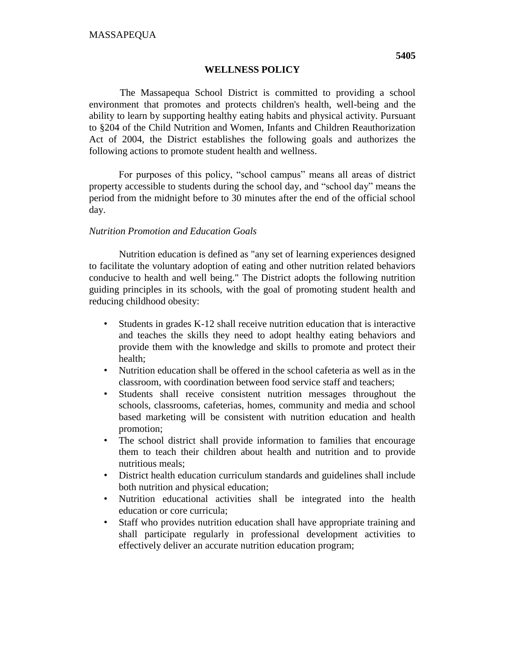## **WELLNESS POLICY**

The Massapequa School District is committed to providing a school environment that promotes and protects children's health, well-being and the ability to learn by supporting healthy eating habits and physical activity. Pursuant to §204 of the Child Nutrition and Women, Infants and Children Reauthorization Act of 2004, the District establishes the following goals and authorizes the following actions to promote student health and wellness.

For purposes of this policy, "school campus" means all areas of district property accessible to students during the school day, and "school day" means the period from the midnight before to 30 minutes after the end of the official school day.

## *Nutrition Promotion and Education Goals*

Nutrition education is defined as "any set of learning experiences designed to facilitate the voluntary adoption of eating and other nutrition related behaviors conducive to health and well being." The District adopts the following nutrition guiding principles in its schools, with the goal of promoting student health and reducing childhood obesity:

- Students in grades K-12 shall receive nutrition education that is interactive and teaches the skills they need to adopt healthy eating behaviors and provide them with the knowledge and skills to promote and protect their health;
- Nutrition education shall be offered in the school cafeteria as well as in the classroom, with coordination between food service staff and teachers;
- Students shall receive consistent nutrition messages throughout the schools, classrooms, cafeterias, homes, community and media and school based marketing will be consistent with nutrition education and health promotion;
- The school district shall provide information to families that encourage them to teach their children about health and nutrition and to provide nutritious meals;
- District health education curriculum standards and guidelines shall include both nutrition and physical education;
- Nutrition educational activities shall be integrated into the health education or core curricula;
- Staff who provides nutrition education shall have appropriate training and shall participate regularly in professional development activities to effectively deliver an accurate nutrition education program;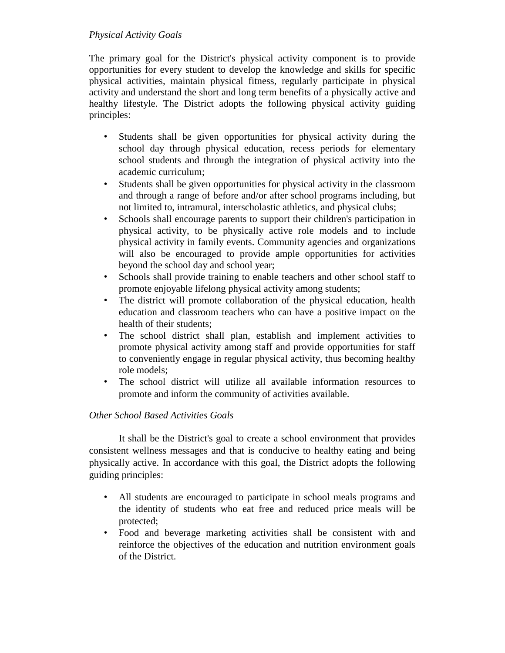# *Physical Activity Goals*

The primary goal for the District's physical activity component is to provide opportunities for every student to develop the knowledge and skills for specific physical activities, maintain physical fitness, regularly participate in physical activity and understand the short and long term benefits of a physically active and healthy lifestyle. The District adopts the following physical activity guiding principles:

- Students shall be given opportunities for physical activity during the school day through physical education, recess periods for elementary school students and through the integration of physical activity into the academic curriculum;
- Students shall be given opportunities for physical activity in the classroom and through a range of before and/or after school programs including, but not limited to, intramural, interscholastic athletics, and physical clubs;
- Schools shall encourage parents to support their children's participation in physical activity, to be physically active role models and to include physical activity in family events. Community agencies and organizations will also be encouraged to provide ample opportunities for activities beyond the school day and school year;
- Schools shall provide training to enable teachers and other school staff to promote enjoyable lifelong physical activity among students;
- The district will promote collaboration of the physical education, health education and classroom teachers who can have a positive impact on the health of their students;
- The school district shall plan, establish and implement activities to promote physical activity among staff and provide opportunities for staff to conveniently engage in regular physical activity, thus becoming healthy role models;
- The school district will utilize all available information resources to promote and inform the community of activities available.

# *Other School Based Activities Goals*

It shall be the District's goal to create a school environment that provides consistent wellness messages and that is conducive to healthy eating and being physically active. In accordance with this goal, the District adopts the following guiding principles:

- All students are encouraged to participate in school meals programs and the identity of students who eat free and reduced price meals will be protected;
- Food and beverage marketing activities shall be consistent with and reinforce the objectives of the education and nutrition environment goals of the District.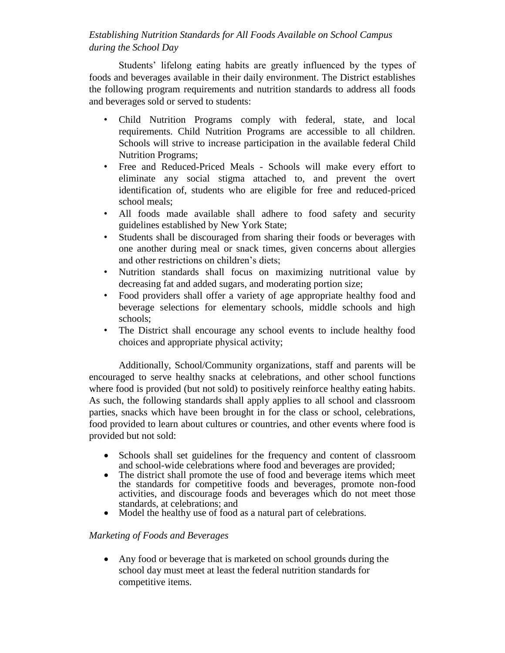# *Establishing Nutrition Standards for All Foods Available on School Campus during the School Day*

Students' lifelong eating habits are greatly influenced by the types of foods and beverages available in their daily environment. The District establishes the following program requirements and nutrition standards to address all foods and beverages sold or served to students:

- Child Nutrition Programs comply with federal, state, and local requirements. Child Nutrition Programs are accessible to all children. Schools will strive to increase participation in the available federal Child Nutrition Programs;
- Free and Reduced-Priced Meals Schools will make every effort to eliminate any social stigma attached to, and prevent the overt identification of, students who are eligible for free and reduced-priced school meals;
- All foods made available shall adhere to food safety and security guidelines established by New York State;
- Students shall be discouraged from sharing their foods or beverages with one another during meal or snack times, given concerns about allergies and other restrictions on children's diets;
- Nutrition standards shall focus on maximizing nutritional value by decreasing fat and added sugars, and moderating portion size;
- Food providers shall offer a variety of age appropriate healthy food and beverage selections for elementary schools, middle schools and high schools;
- The District shall encourage any school events to include healthy food choices and appropriate physical activity;

Additionally, School/Community organizations, staff and parents will be encouraged to serve healthy snacks at celebrations, and other school functions where food is provided (but not sold) to positively reinforce healthy eating habits. As such, the following standards shall apply applies to all school and classroom parties, snacks which have been brought in for the class or school, celebrations, food provided to learn about cultures or countries, and other events where food is provided but not sold:

- Schools shall set guidelines for the frequency and content of classroom and school-wide celebrations where food and beverages are provided;
- The district shall promote the use of food and beverage items which meet the standards for competitive foods and beverages, promote non-food activities, and discourage foods and beverages which do not meet those standards, at celebrations; and
- Model the healthy use of food as a natural part of celebrations.

# *Marketing of Foods and Beverages*

 Any food or beverage that is marketed on school grounds during the school day must meet at least the federal nutrition standards for competitive items.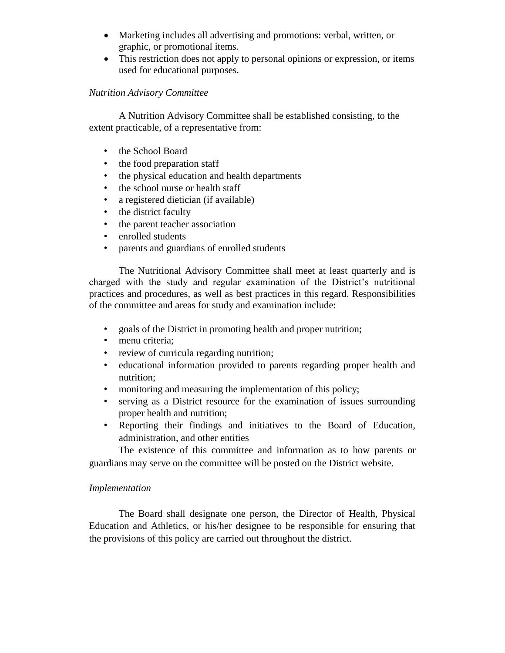- Marketing includes all advertising and promotions: verbal, written, or graphic, or promotional items.
- This restriction does not apply to personal opinions or expression, or items used for educational purposes.

## *Nutrition Advisory Committee*

A Nutrition Advisory Committee shall be established consisting, to the extent practicable, of a representative from:

- the School Board
- the food preparation staff
- the physical education and health departments
- the school nurse or health staff
- a registered dietician (if available)
- the district faculty
- the parent teacher association
- enrolled students
- parents and guardians of enrolled students

The Nutritional Advisory Committee shall meet at least quarterly and is charged with the study and regular examination of the District's nutritional practices and procedures, as well as best practices in this regard. Responsibilities of the committee and areas for study and examination include:

- goals of the District in promoting health and proper nutrition;
- menu criteria;
- review of curricula regarding nutrition;
- educational information provided to parents regarding proper health and nutrition;
- monitoring and measuring the implementation of this policy;
- serving as a District resource for the examination of issues surrounding proper health and nutrition;
- Reporting their findings and initiatives to the Board of Education, administration, and other entities

The existence of this committee and information as to how parents or guardians may serve on the committee will be posted on the District website.

### *Implementation*

The Board shall designate one person, the Director of Health, Physical Education and Athletics, or his/her designee to be responsible for ensuring that the provisions of this policy are carried out throughout the district.